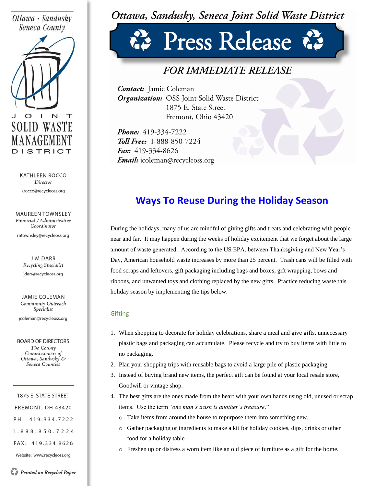### Ottawa · Sandusky Seneca County



**KATHLEEN ROCCO** Director krocco@recycleoss.org

**MAUREEN TOWNSLEY** Financial / Administrative Coordinator

mtownsley@recycleoss.org

**JIM DARR** Recycling Specialist jdarr@recycleoss.org

**JAMIE COLEMAN** Community Outreach Specialist

jcoleman@recycleoss.org

**BOARD OF DIRECTORS** The County Commissioners of Ottawa, Sandusky & Seneca Counties

1875 E. STATE STREET FREMONT, OH 43420 PH: 419.334.7222 1.888.850.7224 FAX: 419.334.8626

Website: www.recycleoss.org

## Ottawa, Sandusky, Seneca Joint Solid Waste District

# Press Release

## *FOR IMMEDIATE RELEASE*

**Contact:** Jamie Coleman **Organization:** OSS Joint Solid Waste District 1875 E. State Street Fremont, Ohio 43420

Phone: 419-334-7222 **Toll Free: 1-888-850-7224** Fax: 419-334-8626 *Email:* jcoleman@recycleoss.org

## **Ways To Reuse During the Holiday Season**

During the holidays, many of us are mindful of giving gifts and treats and celebrating with people near and far. It may happen during the weeks of holiday excitement that we forget about the large amount of waste generated. According to the US EPA, between Thanksgiving and New Year's Day, American household waste increases by more than 25 percent. Trash cans will be filled with food scraps and leftovers, gift packaging including bags and boxes, gift wrapping, bows and ribbons, and unwanted toys and clothing replaced by the new gifts. Practice reducing waste this holiday season by implementing the tips below.

#### **Gifting**

- 1. When shopping to decorate for holiday celebrations, share a meal and give gifts, unnecessary plastic bags and packaging can accumulate. Please recycle and try to buy items with little to no packaging.
- 2. Plan your shopping trips with reusable bags to avoid a large pile of plastic packaging.
- 3. Instead of buying brand new items, the perfect gift can be found at your local resale store, Goodwill or vintage shop.
- 4. The best gifts are the ones made from the heart with your own hands using old, unused or scrap items. Use the term "*one man's trash is another's treasure*."
	- o Take items from around the house to repurpose them into something new.
	- o Gather packaging or ingredients to make a kit for holiday cookies, dips, drinks or other food for a holiday table.
	- o Freshen up or distress a worn item like an old piece of furniture as a gift for the home.